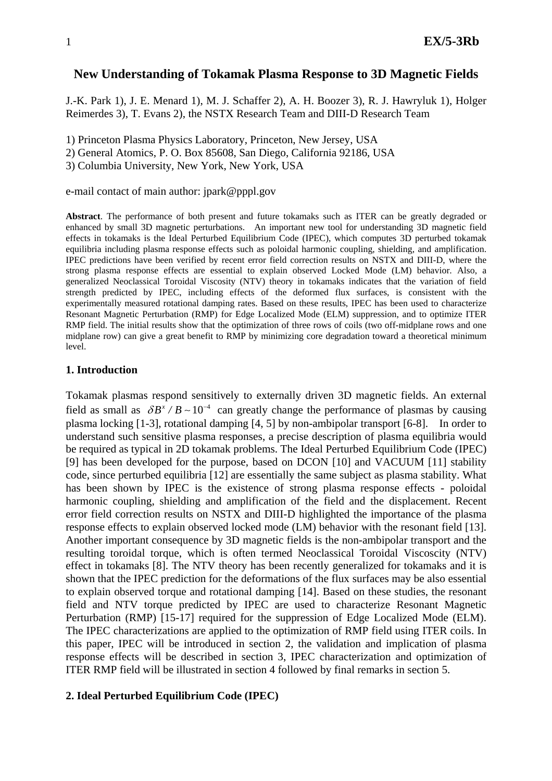# **New Understanding of Tokamak Plasma Response to 3D Magnetic Fields**

J.-K. Park 1), J. E. Menard 1), M. J. Schaffer 2), A. H. Boozer 3), R. J. Hawryluk 1), Holger Reimerdes 3), T. Evans 2), the NSTX Research Team and DIII-D Research Team

1) Princeton Plasma Physics Laboratory, Princeton, New Jersey, USA

2) General Atomics, P. O. Box 85608, San Diego, California 92186, USA

3) Columbia University, New York, New York, USA

e-mail contact of main author: jpark@pppl.gov

**Abstract**. The performance of both present and future tokamaks such as ITER can be greatly degraded or enhanced by small 3D magnetic perturbations. An important new tool for understanding 3D magnetic field effects in tokamaks is the Ideal Perturbed Equilibrium Code (IPEC), which computes 3D perturbed tokamak equilibria including plasma response effects such as poloidal harmonic coupling, shielding, and amplification. IPEC predictions have been verified by recent error field correction results on NSTX and DIII-D, where the strong plasma response effects are essential to explain observed Locked Mode (LM) behavior. Also, a generalized Neoclassical Toroidal Viscosity (NTV) theory in tokamaks indicates that the variation of field strength predicted by IPEC, including effects of the deformed flux surfaces, is consistent with the experimentally measured rotational damping rates. Based on these results, IPEC has been used to characterize Resonant Magnetic Perturbation (RMP) for Edge Localized Mode (ELM) suppression, and to optimize ITER RMP field. The initial results show that the optimization of three rows of coils (two off-midplane rows and one midplane row) can give a great benefit to RMP by minimizing core degradation toward a theoretical minimum level.

### **1. Introduction**

Tokamak plasmas respond sensitively to externally driven 3D magnetic fields. An external field as small as  $\delta B^x / B \sim 10^{-4}$  can greatly change the performance of plasmas by causing plasma locking [1-3], rotational damping [4, 5] by non-ambipolar transport [6-8]. In order to understand such sensitive plasma responses, a precise description of plasma equilibria would be required as typical in 2D tokamak problems. The Ideal Perturbed Equilibrium Code (IPEC) [9] has been developed for the purpose, based on DCON [10] and VACUUM [11] stability code, since perturbed equilibria [12] are essentially the same subject as plasma stability. What has been shown by IPEC is the existence of strong plasma response effects - poloidal harmonic coupling, shielding and amplification of the field and the displacement. Recent error field correction results on NSTX and DIII-D highlighted the importance of the plasma response effects to explain observed locked mode (LM) behavior with the resonant field [13]. Another important consequence by 3D magnetic fields is the non-ambipolar transport and the resulting toroidal torque, which is often termed Neoclassical Toroidal Viscoscity (NTV) effect in tokamaks [8]. The NTV theory has been recently generalized for tokamaks and it is shown that the IPEC prediction for the deformations of the flux surfaces may be also essential to explain observed torque and rotational damping [14]. Based on these studies, the resonant field and NTV torque predicted by IPEC are used to characterize Resonant Magnetic Perturbation (RMP) [15-17] required for the suppression of Edge Localized Mode (ELM). The IPEC characterizations are applied to the optimization of RMP field using ITER coils. In this paper, IPEC will be introduced in section 2, the validation and implication of plasma response effects will be described in section 3, IPEC characterization and optimization of ITER RMP field will be illustrated in section 4 followed by final remarks in section 5.

# **2. Ideal Perturbed Equilibrium Code (IPEC)**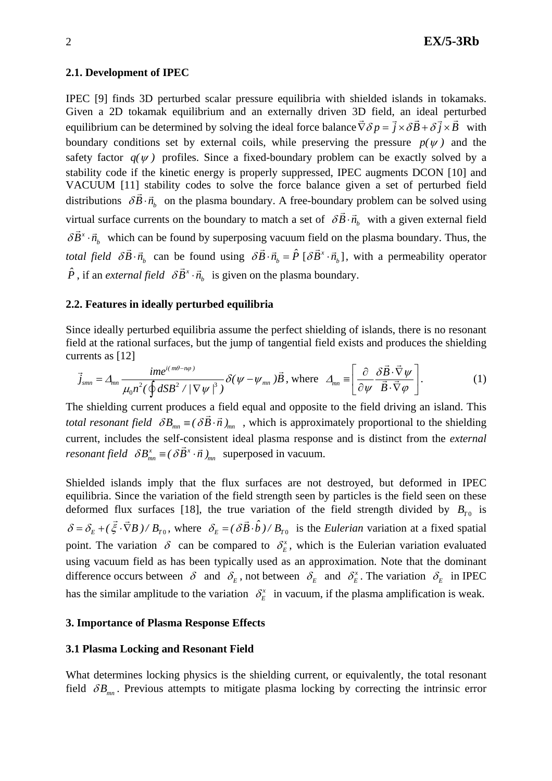### **2.1. Development of IPEC**

IPEC [9] finds 3D perturbed scalar pressure equilibria with shielded islands in tokamaks. Given a 2D tokamak equilibrium and an externally driven 3D field, an ideal perturbed equilibrium can be determined by solving the ideal force balance  $\vec{\nabla} \delta p = \vec{i} \times \delta \vec{B} + \delta \vec{j} \times \vec{B}$  with boundary conditions set by external coils, while preserving the pressure  $p(\psi)$  and the safety factor  $q(\psi)$  profiles. Since a fixed-boundary problem can be exactly solved by a stability code if the kinetic energy is properly suppressed, IPEC augments DCON [10] and VACUUM [11] stability codes to solve the force balance given a set of perturbed field distributions  $\delta \vec{B} \cdot \vec{n}$ , on the plasma boundary. A free-boundary problem can be solved using virtual surface currents on the boundary to match a set of  $\delta \vec{B} \cdot \vec{n}_h$  with a given external field  $\delta \vec{B}^x \cdot \vec{n}_h$  which can be found by superposing vacuum field on the plasma boundary. Thus, the *total field*  $\delta \vec{B} \cdot \vec{n}_b$  can be found using  $\delta \vec{B} \cdot \vec{n}_b = \hat{P} [\delta \vec{B}^x \cdot \vec{n}_b]$ , with a permeability operator  $\hat{P}$ , if an *external field*  $\delta \vec{B}^x \cdot \vec{n}_b$  is given on the plasma boundary.

### **2.2. Features in ideally perturbed equilibria**

Since ideally perturbed equilibria assume the perfect shielding of islands, there is no resonant field at the rational surfaces, but the jump of tangential field exists and produces the shielding currents as [12]  $\overline{\phantom{a}}$ 

$$
\vec{j}_{\text{smn}} = \Delta_{mn} \frac{ime^{i(m\theta - n\varphi)}}{\mu_0 n^2 (\oint dSB^2 / |\nabla \psi|^2)} \delta(\psi - \psi_{mn}) \vec{B}, \text{ where } \Delta_{mn} = \left[ \frac{\partial}{\partial \psi} \frac{\delta \vec{B} \cdot \vec{\nabla} \psi}{\vec{B} \cdot \vec{\nabla} \varphi} \right]. \tag{1}
$$

The shielding current produces a field equal and opposite to the field driving an island. This *total resonant field*  $\delta B_{mn} \equiv (\delta \vec{B} \cdot \vec{n})_{mn}$ , which is approximately proportional to the shielding  $x = \sqrt{s} \vec{p}x$ *resonant field*  $\delta B_{mn}^x \equiv (\delta \vec{B}^x \cdot \vec{n})_{mn}$  superposed in vacuum. current, includes the self-consistent ideal plasma response and is distinct from the *external* 

Shielded islands imply that the flux surfaces are not destroyed, but deformed in IPEC equilibria. Since the variation of the field strength seen by particles is the field seen on these deformed flux surfaces [18], the true variation of the field strength divided by  $B_{T0}$  is  $\delta = \delta_E + (\xi \cdot \nabla B)/B_{T0}$ , where  $\vec{\xi} \cdot \vec{\nabla}B$ )/ $B_{T0}$ , where  $\delta_E = (\delta \vec{B} \cdot \hat{b})/B_{T0}$  is the *Eulerian* variation at a fixed spatial point. The variation  $\delta$  can be compared to  $\delta_E^x$ , which is the Eulerian variation evaluated using vacuum field as has been typically used as an approximation. Note that the dominant difference occurs between  $\delta$  and  $\delta_E$ , not between  $\delta_E$  and  $\delta_E^x$ . The variation  $\delta_E$  in IPEC has the similar amplitude to the variation  $\delta_E^x$  in vacuum, if the plasma amplification is weak.

### **3. Importance of Plasma Response Effects**

### **3.1 Plasma Locking and Resonant Field**

What determines locking physics is the shielding current, or equivalently, the total resonant field  $\delta B_{mn}$ . Previous attempts to mitigate plasma locking by correcting the intrinsic error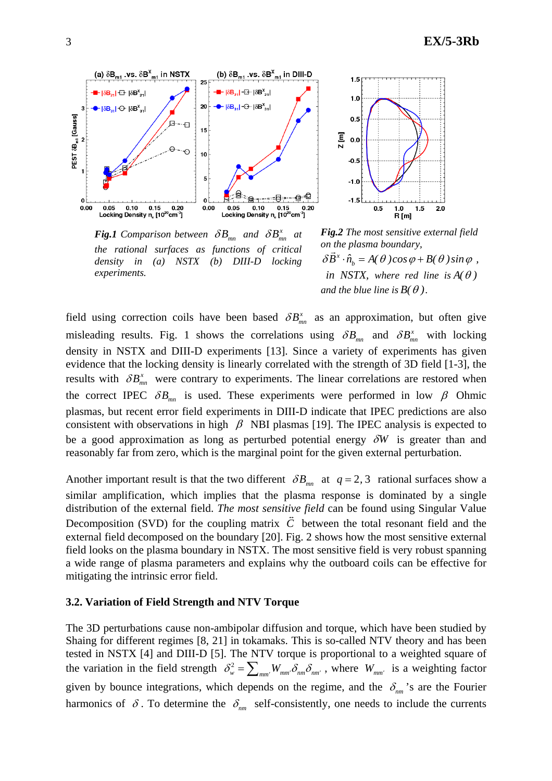

*<i>Fig.1* Comparison between  $\delta B_{mn}$  and  $\delta B_{mn}^x$  at *the rational surfaces as functions of critical density in (a) NSTX (b) DIII-D locking experiments.* 



*Fig.2 The most sensitive external field on the plasma boundary, x bh* ine plasma boundary,<br> $\delta \vec{B}^x \cdot \hat{n}_b = A(\theta) \cos \varphi + B(\theta) \sin \varphi$ , *in NSTX, where red line is*  $A(\theta)$ *and the blue line is*  $B(\theta)$ *.* 

field using correction coils have been based  $\delta B_{mn}^x$  as an approximation, but often give misleading results. Fig. 1 shows the correlations using  $\delta B_{mn}$  and  $\delta B_{mn}^x$  with locking density in NSTX and DIII-D experiments [13]. Since a variety of experiments has given evidence that the locking density is linearly correlated with the strength of 3D field [1-3], the results with  $\delta B_{mn}^x$  were contrary to experiments. The linear correlations are restored when the correct IPEC  $\delta B_{mn}$  is used. These experiments were performed in low  $\beta$  Ohmic plasmas, but recent error field experiments in DIII-D indicate that IPEC predictions are also consistent with observations in high  $\beta$  NBI plasmas [19]. The IPEC analysis is expected to be a good approximation as long as perturbed potential energy δ*W* is greater than and reasonably far from zero, which is the marginal point for the given external perturbation.

Another important result is that the two different  $\delta B_{mn}$  at  $q = 2, 3$  rational surfaces show a similar amplification, which implies that the plasma response is dominated by a single distribution of the external field. *The most sensitive field* can be found using Singular Value I Decomposition (SVD) for the coupling matrix  $\overline{C}$  between the total resonant field and the external field decomposed on the boundary [20]. Fig. 2 shows how the most sensitive external field looks on the plasma boundary in NSTX. The most sensitive field is very robust spanning a wide range of plasma parameters and explains why the outboard coils can be effective for mitigating the intrinsic error field.

### **3.2. Variation of Field Strength and NTV Torque**

The 3D perturbations cause non-ambipolar diffusion and torque, which have been studied by Shaing for different regimes [8, 21] in tokamaks. This is so-called NTV theory and has been tested in NSTX [4] and DIII-D [5]. The NTV torque is proportional to a weighted square of the variation in the field strength  $\delta_w^2 = \sum_{mn'} W_{mn'} \delta_{nm'} \delta_{nm'}$ , where  $W_{mn'}$  is a weighting factor given by bounce integrations, which depends on the regime, and the  $\delta_{nm}$ 's are the Fourier harmonics of  $\delta$ . To determine the  $\delta_{nm}$  self-consistently, one needs to include the currents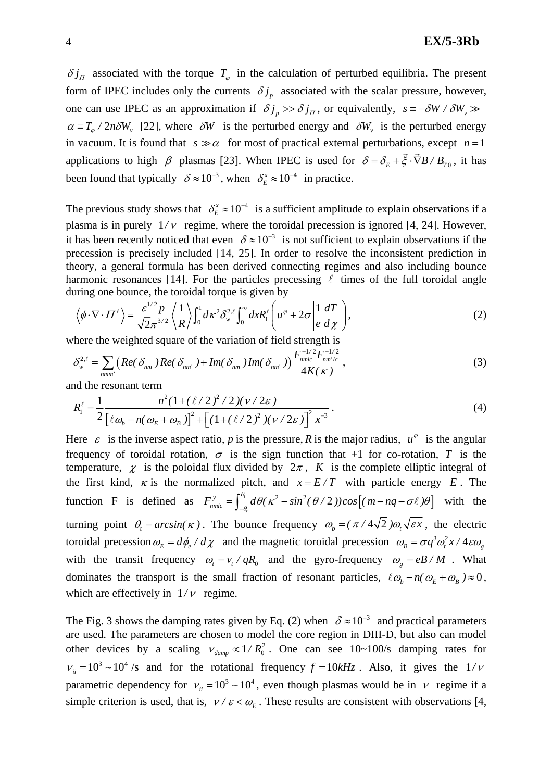$\delta j_{\Pi}$  associated with the torque  $T_{\varphi}$  in the calculation of perturbed equilibria. The present form of IPEC includes only the currents  $\delta j_p$  associated with the scalar pressure, however, one can use IPEC as an approximation if  $\delta j_p >> \delta j_\pi$ , or equivalently,  $s = -\delta W / \delta W_p$  $\alpha = T_a / 2n\delta W_v$  [22], where  $\delta W$  is the perturbed energy and  $\delta W_v$  is the perturbed energy in vacuum. It is found that  $s \gg \alpha$  for most of practical external perturbations, except  $n = 1$ applications to high  $\beta$  plasmas [23]. When IPEC is used for  $\delta = \delta_{\kappa} + \vec{\xi} \cdot \vec{\nabla} B / B_{\tau_0}$ , it has been found that typically  $\delta \approx 10^{-3}$ , when  $\delta_E^x \approx 10^{-4}$  in practice.

The previous study shows that  $\delta_E^x \approx 10^{-4}$  is a sufficient amplitude to explain observations if a plasma is in purely  $1/v$  regime, where the toroidal precession is ignored [4, 24]. However, it has been recently noticed that even  $\delta \approx 10^{-3}$  is not sufficient to explain observations if the precession is precisely included [14, 25]. In order to resolve the inconsistent prediction in theory, a general formula has been derived connecting regimes and also including bounce harmonic resonances [14]. For the particles precessing  $\ell$  times of the full toroidal angle during one bounce, the toroidal torque is given by

$$
\left\langle \phi \cdot \nabla \cdot \Pi^{\ell} \right\rangle = \frac{\varepsilon^{1/2} p}{\sqrt{2} \pi^{3/2}} \left\langle \frac{1}{R} \right\rangle \int_0^1 d\kappa^2 \delta_w^{2,\ell} \int_0^\infty dx R_1^{\ell} \left( u^\varphi + 2\sigma \left| \frac{1}{e} \frac{dT}{d\chi} \right| \right),\tag{2}
$$

where the weighted square of the variation of field strength is

$$
\delta_{w}^{2,\ell} = \sum_{nmm'} \left( Re(\delta_{nm}) Re(\delta_{nm'}) + Im(\delta_{nm}) Im(\delta_{nm'}) \right) \frac{F_{nmlc}^{-1/2} F_{nm'lc}^{-1/2}}{4K(\kappa)},
$$
\n(3)

and the resonant term

$$
R_1^{\ell} = \frac{1}{2} \frac{n^2 (1 + (\ell/2)^2 / 2)(\nu/2\varepsilon)}{[\ell \omega_b - n(\omega_E + \omega_B)]^2 + [(1 + (\ell/2)^2)(\nu/2\varepsilon)]^2 x^{-3}}.
$$
\n(4)

Here  $\varepsilon$  is the inverse aspect ratio, *p* is the pressure, *R* is the major radius,  $u^{\varphi}$  is the angular frequency of toroidal rotation,  $\sigma$  is the sign function that +1 for co-rotation, *T* is the temperature,  $\chi$  is the poloidal flux divided by  $2\pi$ , K is the complete elliptic integral of the first kind,  $\kappa$  is the normalized pitch, and  $x = E/T$  with particle energy E. The function F is defined as  $F_{nmlc}^y = \int_{-\theta_i}^{\theta_i} d\theta (\kappa^2 - \sin^2(\theta/2)) \cos[(m-nq-\sigma \ell)\theta]$ θ  $\int_{nmlc}^{y} = \int_{-\theta_i}^{\theta_i} d\theta (\kappa^2 - \sin^2(\theta/2))\cos[(m-nq-\sigma\ell)\theta]$  with the turning point  $\theta_t = \arcsin(\kappa)$ . The bounce frequency  $\omega_b = (\pi/4\sqrt{2})\omega_t\sqrt{\varepsilon x}$ , the electric toroidal precession  $\omega_E = d\phi_e / d\chi$  and the magnetic toroidal precession  $\omega_B = \sigma q^3 \omega_i^2 x / 4 \epsilon \omega_g$ with the transit frequency  $\omega_t = v_t / qR_0$  and the gyro-frequency  $\omega_g = eB / M$ . What dominates the transport is the small fraction of resonant particles,  $\ell \omega_b - n(\omega_E + \omega_B) \approx 0$ , which are effectively in  $1/\nu$  regime.

The Fig. 3 shows the damping rates given by Eq. (2) when  $\delta \approx 10^{-3}$  and practical parameters are used. The parameters are chosen to model the core region in DIII-D, but also can model other devices by a scaling  $v_{\text{damp}} \propto 1/R_0^2$ . One can see 10~100/s damping rates for  $v_{ii} = 10^3 \sim 10^4$  /s and for the rotational frequency  $f = 10kHz$ . Also, it gives the  $1/v$ parametric dependency for  $v_{ii} = 10^3 \sim 10^4$ , even though plasmas would be in  $v$  regime if a simple criterion is used, that is,  $V / \varepsilon < \omega_F$ . These results are consistent with observations [4,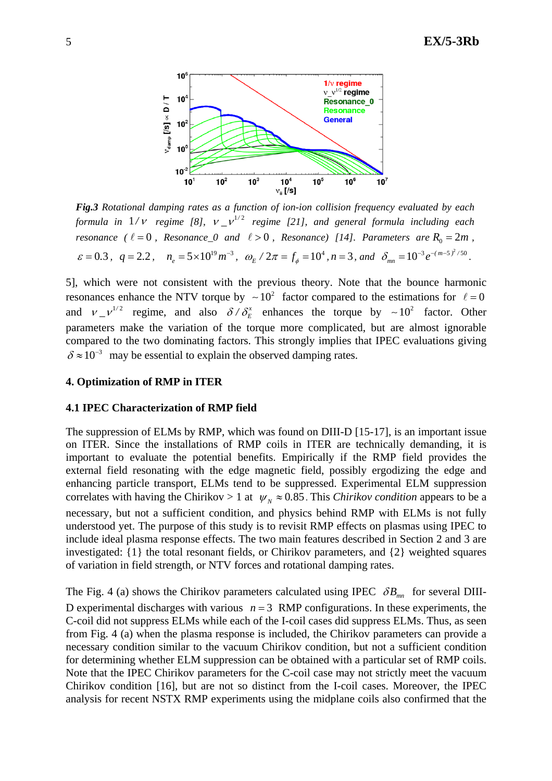

*Fig.3 Rotational damping rates as a function of ion-ion collision frequency evaluated by each formula in*  $1/v$  *regime [8], v*  $v^{1/2}$  *regime [21], and general formula including each resonance* ( $\ell = 0$ , *Resonance* 0 *and*  $\ell > 0$ , *Resonance*) [14]. Parameters are  $R_0 = 2m$ ,  $\varepsilon = 0.3$ ,  $q = 2.2$ ,  $n_e = 5 \times 10^{19} m^{-3}$ ,  $\omega_E / 2\pi = f_\phi = 10^4$ ,  $n = 3$ , and  $\delta_{mn} = 10^{-3} e^{-(m-5)^2/50}$ .

5], which were not consistent with the previous theory. Note that the bounce harmonic resonances enhance the NTV torque by  $\sim 10^2$  factor compared to the estimations for  $\ell = 0$ and  $v = v^{1/2}$  regime, and also  $\delta / \delta_E^x$  enhances the torque by ~10<sup>2</sup> factor. Other parameters make the variation of the torque more complicated, but are almost ignorable compared to the two dominating factors. This strongly implies that IPEC evaluations giving  $\delta \approx 10^{-3}$  may be essential to explain the observed damping rates.

# **4. Optimization of RMP in ITER**

# **4.1 IPEC Characterization of RMP field**

The suppression of ELMs by RMP, which was found on DIII-D [15-17], is an important issue on ITER. Since the installations of RMP coils in ITER are technically demanding, it is important to evaluate the potential benefits. Empirically if the RMP field provides the external field resonating with the edge magnetic field, possibly ergodizing the edge and enhancing particle transport, ELMs tend to be suppressed. Experimental ELM suppression correlates with having the Chirikov > 1 at  $\psi_N \approx 0.85$ . This *Chirikov condition* appears to be a necessary, but not a sufficient condition, and physics behind RMP with ELMs is not fully understood yet. The purpose of this study is to revisit RMP effects on plasmas using IPEC to include ideal plasma response effects. The two main features described in Section 2 and 3 are investigated: {1} the total resonant fields, or Chirikov parameters, and {2} weighted squares of variation in field strength, or NTV forces and rotational damping rates.

The Fig. 4 (a) shows the Chirikov parameters calculated using IPEC  $\delta B_{mn}$  for several DIII-D experimental discharges with various  $n = 3$  RMP configurations. In these experiments, the C-coil did not suppress ELMs while each of the I-coil cases did suppress ELMs. Thus, as seen from Fig. 4 (a) when the plasma response is included, the Chirikov parameters can provide a necessary condition similar to the vacuum Chirikov condition, but not a sufficient condition for determining whether ELM suppression can be obtained with a particular set of RMP coils. Note that the IPEC Chirikov parameters for the C-coil case may not strictly meet the vacuum Chirikov condition [16], but are not so distinct from the I-coil cases. Moreover, the IPEC analysis for recent NSTX RMP experiments using the midplane coils also confirmed that the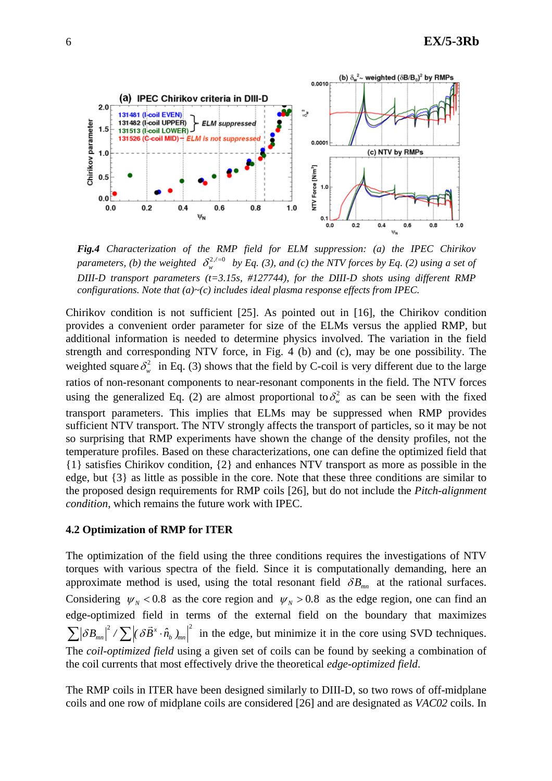

*Fig.4 Characterization of the RMP field for ELM suppression: (a) the IPEC Chirikov parameters, (b) the weighted*  $\delta_w^{2, \ell=0}$  *by Eq. (3), and (c) the NTV forces by Eq. (2) using a set of DIII-D transport parameters (t=3.15s, #127744), for the DIII-D shots using different RMP configurations. Note that (a)~(c) includes ideal plasma response effects from IPEC.* 

Chirikov condition is not sufficient [25]. As pointed out in [16], the Chirikov condition provides a convenient order parameter for size of the ELMs versus the applied RMP, but additional information is needed to determine physics involved. The variation in the field strength and corresponding NTV force, in Fig. 4 (b) and (c), may be one possibility. The weighted square  $\delta_w^2$  in Eq. (3) shows that the field by C-coil is very different due to the large ratios of non-resonant components to near-resonant components in the field. The NTV forces using the generalized Eq. (2) are almost proportional to  $\delta_w^2$  as can be seen with the fixed transport parameters. This implies that ELMs may be suppressed when RMP provides sufficient NTV transport. The NTV strongly affects the transport of particles, so it may be not so surprising that RMP experiments have shown the change of the density profiles, not the temperature profiles. Based on these characterizations, one can define the optimized field that {1} satisfies Chirikov condition, {2} and enhances NTV transport as more as possible in the edge, but {3} as little as possible in the core. Note that these three conditions are similar to the proposed design requirements for RMP coils [26], but do not include the *Pitch-alignment condition*, which remains the future work with IPEC.

### **4.2 Optimization of RMP for ITER**

The optimization of the field using the three conditions requires the investigations of NTV torques with various spectra of the field. Since it is computationally demanding, here an approximate method is used, using the total resonant field  $\delta B_{mn}$  at the rational surfaces. Considering  $\psi_N < 0.8$  as the core region and  $\psi_N > 0.8$  as the edge region, one can find an edge-optimized field in terms of the external field on the boundary that maximizes 2  $\sum_{k}$   $\sum_{k}$   $\sum_{k}$   $\lambda$   $\frac{1}{2}$  $\sum |\delta B_{mn}|^2 / \sum |\delta \vec{B}^x \cdot \hat{n}_b|_{mn}^2$  in the edge, but minimize it in the core using SVD techniques. The *coil-optimized field* using a given set of coils can be found by seeking a combination of the coil currents that most effectively drive the theoretical *edge-optimized field*.

The RMP coils in ITER have been designed similarly to DIII-D, so two rows of off-midplane coils and one row of midplane coils are considered [26] and are designated as *VAC02* coils. In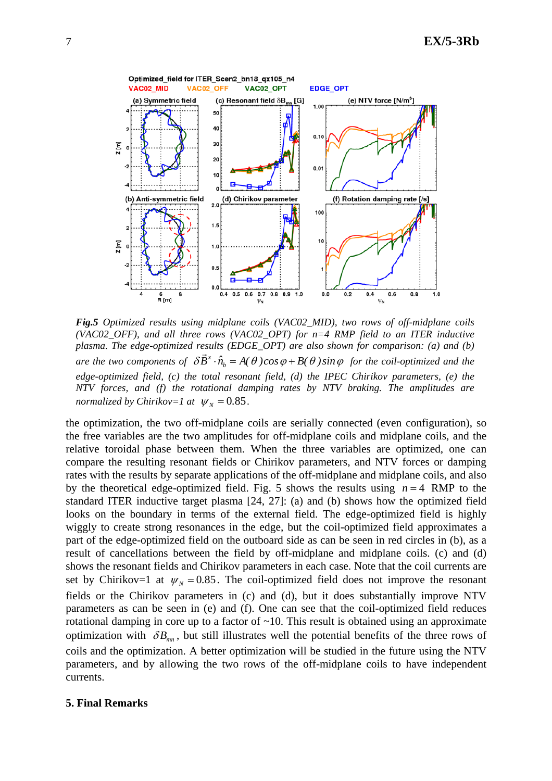

*Fig.5 Optimized results using midplane coils (VAC02\_MID), two rows of off-midplane coils (VAC02\_OFF), and all three rows (VAC02\_OPT) for n=4 RMP field to an ITER inductive plasma. The edge-optimized results (EDGE\_OPT) are also shown for comparison: (a) and (b) plasma. The eage-optimized results (EDGE\_OFT) are also shown for comparison. (a) and (b)*<br>are the two components of  $\delta \vec{B}^x \cdot \hat{n}_{b} = A(\theta) \cos \varphi + B(\theta) \sin \varphi$  for the coil-optimized and the *edge-optimized field, (c) the total resonant field, (d) the IPEC Chirikov parameters, (e) the NTV forces, and (f) the rotational damping rates by NTV braking. The amplitudes are normalized by Chirikov=1 at*  $\psi_N = 0.85$ .

the optimization, the two off-midplane coils are serially connected (even configuration), so the free variables are the two amplitudes for off-midplane coils and midplane coils, and the relative toroidal phase between them. When the three variables are optimized, one can compare the resulting resonant fields or Chirikov parameters, and NTV forces or damping rates with the results by separate applications of the off-midplane and midplane coils, and also by the theoretical edge-optimized field. Fig. 5 shows the results using  $n = 4$  RMP to the standard ITER inductive target plasma [24, 27]: (a) and (b) shows how the optimized field looks on the boundary in terms of the external field. The edge-optimized field is highly wiggly to create strong resonances in the edge, but the coil-optimized field approximates a part of the edge-optimized field on the outboard side as can be seen in red circles in (b), as a result of cancellations between the field by off-midplane and midplane coils. (c) and (d) shows the resonant fields and Chirikov parameters in each case. Note that the coil currents are set by Chirikov=1 at  $\psi_N = 0.85$ . The coil-optimized field does not improve the resonant fields or the Chirikov parameters in (c) and (d), but it does substantially improve NTV parameters as can be seen in (e) and (f). One can see that the coil-optimized field reduces rotational damping in core up to a factor of ~10. This result is obtained using an approximate optimization with  $\delta B_{mn}$ , but still illustrates well the potential benefits of the three rows of coils and the optimization. A better optimization will be studied in the future using the NTV parameters, and by allowing the two rows of the off-midplane coils to have independent currents.

#### **5. Final Remarks**